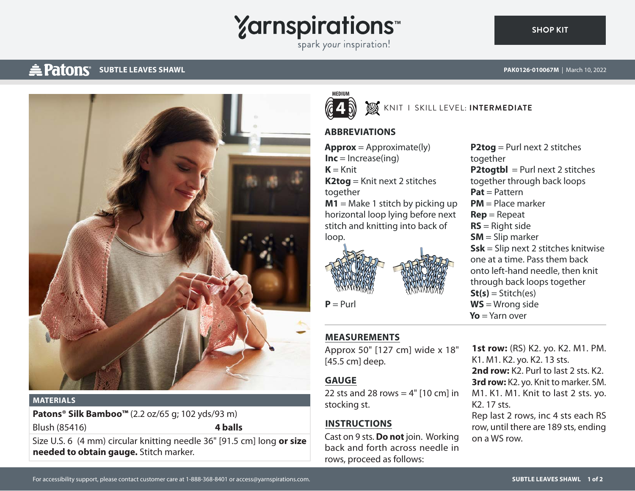

spark your inspiration!

# **SUBTLE LEAVES SHAWL AND REAST SUBTLE LEAVES SHAWL AND REAST OF THE REAST OF THE PAK0126-010067M | March 10, 2022**



#### **MATERIALS**

**Patons® Silk Bamboo™** (2.2 oz/65 g; 102 yds/93 m) Blush (85416) **4 balls**

Size U.S. 6 (4 mm) circular knitting needle 36" [91.5 cm] long **or size needed to obtain gauge.** Stitch marker.



#### **W** KNIT I SKILL LEVEL: INTERMEDIATE

### **ABBREVIATIONS**

 $Approx = Approximate(ly)$  $Inc = Increase(ing)$  $K =$ Knit **K2tog** = Knit next 2 stitches together **M1** = Make 1 stitch by picking up horizontal loop lying before next stitch and knitting into back of loop.



 $P = Purl$ 

# **MEASUREMENTS**

Approx 50" [127 cm] wide x 18" [45.5 cm] deep.

## **GAUGE**

22 sts and 28 rows  $= 4"$  [10 cm] in stocking st.

### **INSTRUCTIONS**

Cast on 9 sts. **Do not** join. Working back and forth across needle in rows, proceed as follows:

**P2tog** = Purl next 2 stitches together **P2togtbl** = Purl next 2 stitches together through back loops **Pat** = Pattern **PM** = Place marker **Rep** = Repeat **RS** = Right side **SM** = Slip marker **Ssk** = Slip next 2 stitches knitwise one at a time. Pass them back onto left-hand needle, then knit through back loops together  $St(s) = Stitch(es)$ **WS** = Wrong side **Yo** = Yarn over

**1st row:** (RS) K2. yo. K2. M1. PM. K1. M1. K2. yo. K2. 13 sts. **2nd row:** K2. Purl to last 2 sts. K2. **3rd row:** K2. yo. Knit to marker. SM. M1. K1. M1. Knit to last 2 sts. yo. K2. 17 sts.

Rep last 2 rows, inc 4 sts each RS row, until there are 189 sts, ending on a WS row.